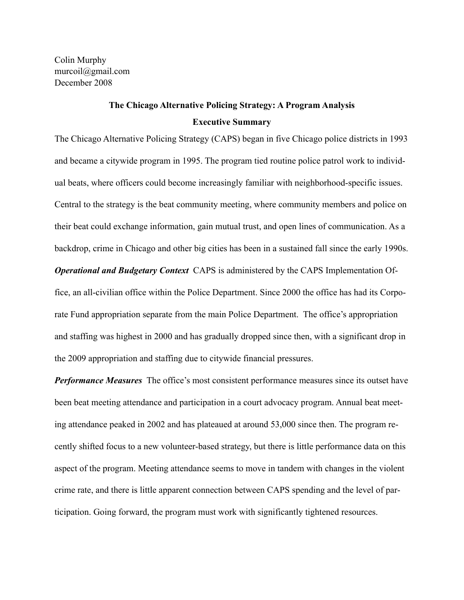Colin Murphy murcoil@gmail.com December 2008

# **The Chicago Alternative Policing Strategy: A Program Analysis Executive Summary**

The Chicago Alternative Policing Strategy (CAPS) began in five Chicago police districts in 1993 and became a citywide program in 1995. The program tied routine police patrol work to individual beats, where officers could become increasingly familiar with neighborhood-specific issues. Central to the strategy is the beat community meeting, where community members and police on their beat could exchange information, gain mutual trust, and open lines of communication. As a backdrop, crime in Chicago and other big cities has been in a sustained fall since the early 1990s. *Operational and Budgetary Context* CAPS is administered by the CAPS Implementation Office, an all-civilian office within the Police Department. Since 2000 the office has had its Corporate Fund appropriation separate from the main Police Department. The office's appropriation and staffing was highest in 2000 and has gradually dropped since then, with a significant drop in the 2009 appropriation and staffing due to citywide financial pressures.

*Performance Measures* The office's most consistent performance measures since its outset have been beat meeting attendance and participation in a court advocacy program. Annual beat meeting attendance peaked in 2002 and has plateaued at around 53,000 since then. The program recently shifted focus to a new volunteer-based strategy, but there is little performance data on this aspect of the program. Meeting attendance seems to move in tandem with changes in the violent crime rate, and there is little apparent connection between CAPS spending and the level of participation. Going forward, the program must work with significantly tightened resources.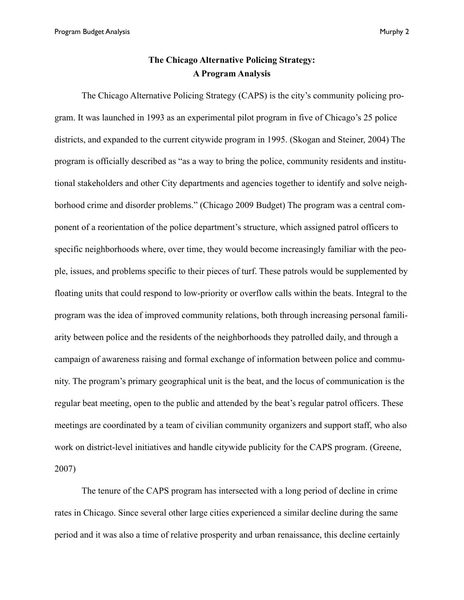# **The Chicago Alternative Policing Strategy: A Program Analysis**

 The Chicago Alternative Policing Strategy (CAPS) is the city's community policing program. It was launched in 1993 as an experimental pilot program in five of Chicago's 25 police districts, and expanded to the current citywide program in 1995. (Skogan and Steiner, 2004) The program is officially described as "as a way to bring the police, community residents and institutional stakeholders and other City departments and agencies together to identify and solve neighborhood crime and disorder problems." (Chicago 2009 Budget) The program was a central component of a reorientation of the police department's structure, which assigned patrol officers to specific neighborhoods where, over time, they would become increasingly familiar with the people, issues, and problems specific to their pieces of turf. These patrols would be supplemented by floating units that could respond to low-priority or overflow calls within the beats. Integral to the program was the idea of improved community relations, both through increasing personal familiarity between police and the residents of the neighborhoods they patrolled daily, and through a campaign of awareness raising and formal exchange of information between police and community. The program's primary geographical unit is the beat, and the locus of communication is the regular beat meeting, open to the public and attended by the beat's regular patrol officers. These meetings are coordinated by a team of civilian community organizers and support staff, who also work on district-level initiatives and handle citywide publicity for the CAPS program. (Greene, 2007)

 The tenure of the CAPS program has intersected with a long period of decline in crime rates in Chicago. Since several other large cities experienced a similar decline during the same period and it was also a time of relative prosperity and urban renaissance, this decline certainly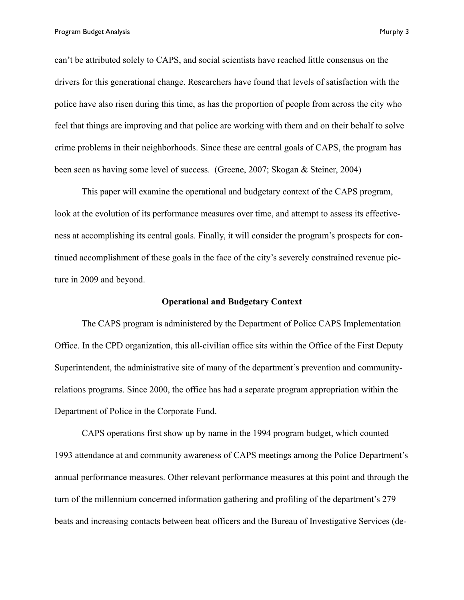can't be attributed solely to CAPS, and social scientists have reached little consensus on the drivers for this generational change. Researchers have found that levels of satisfaction with the police have also risen during this time, as has the proportion of people from across the city who feel that things are improving and that police are working with them and on their behalf to solve crime problems in their neighborhoods. Since these are central goals of CAPS, the program has been seen as having some level of success. (Greene, 2007; Skogan & Steiner, 2004)

This paper will examine the operational and budgetary context of the CAPS program, look at the evolution of its performance measures over time, and attempt to assess its effectiveness at accomplishing its central goals. Finally, it will consider the program's prospects for continued accomplishment of these goals in the face of the city's severely constrained revenue picture in 2009 and beyond.

## **Operational and Budgetary Context**

 The CAPS program is administered by the Department of Police CAPS Implementation Office. In the CPD organization, this all-civilian office sits within the Office of the First Deputy Superintendent, the administrative site of many of the department's prevention and communityrelations programs. Since 2000, the office has had a separate program appropriation within the Department of Police in the Corporate Fund.

 CAPS operations first show up by name in the 1994 program budget, which counted 1993 attendance at and community awareness of CAPS meetings among the Police Department's annual performance measures. Other relevant performance measures at this point and through the turn of the millennium concerned information gathering and profiling of the department's 279 beats and increasing contacts between beat officers and the Bureau of Investigative Services (de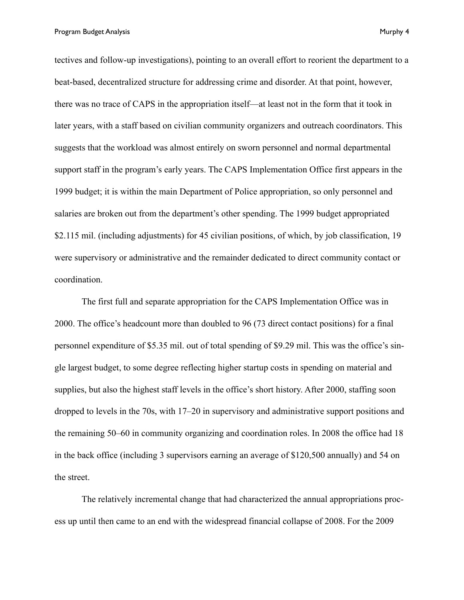Program Budget Analysis **Murphy 4** 

tectives and follow-up investigations), pointing to an overall effort to reorient the department to a beat-based, decentralized structure for addressing crime and disorder. At that point, however, there was no trace of CAPS in the appropriation itself—at least not in the form that it took in later years, with a staff based on civilian community organizers and outreach coordinators. This suggests that the workload was almost entirely on sworn personnel and normal departmental support staff in the program's early years. The CAPS Implementation Office first appears in the 1999 budget; it is within the main Department of Police appropriation, so only personnel and salaries are broken out from the department's other spending. The 1999 budget appropriated \$2.115 mil. (including adjustments) for 45 civilian positions, of which, by job classification, 19 were supervisory or administrative and the remainder dedicated to direct community contact or coordination.

 The first full and separate appropriation for the CAPS Implementation Office was in 2000. The office's headcount more than doubled to 96 (73 direct contact positions) for a final personnel expenditure of \$5.35 mil. out of total spending of \$9.29 mil. This was the office's single largest budget, to some degree reflecting higher startup costs in spending on material and supplies, but also the highest staff levels in the office's short history. After 2000, staffing soon dropped to levels in the 70s, with 17–20 in supervisory and administrative support positions and the remaining 50–60 in community organizing and coordination roles. In 2008 the office had 18 in the back office (including 3 supervisors earning an average of \$120,500 annually) and 54 on the street.

 The relatively incremental change that had characterized the annual appropriations process up until then came to an end with the widespread financial collapse of 2008. For the 2009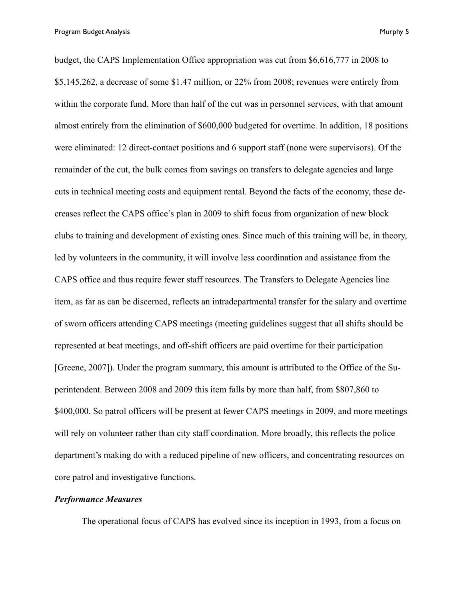budget, the CAPS Implementation Office appropriation was cut from \$6,616,777 in 2008 to \$5,145,262, a decrease of some \$1.47 million, or 22% from 2008; revenues were entirely from within the corporate fund. More than half of the cut was in personnel services, with that amount almost entirely from the elimination of \$600,000 budgeted for overtime. In addition, 18 positions were eliminated: 12 direct-contact positions and 6 support staff (none were supervisors). Of the remainder of the cut, the bulk comes from savings on transfers to delegate agencies and large cuts in technical meeting costs and equipment rental. Beyond the facts of the economy, these decreases reflect the CAPS office's plan in 2009 to shift focus from organization of new block clubs to training and development of existing ones. Since much of this training will be, in theory, led by volunteers in the community, it will involve less coordination and assistance from the CAPS office and thus require fewer staff resources. The Transfers to Delegate Agencies line item, as far as can be discerned, reflects an intradepartmental transfer for the salary and overtime of sworn officers attending CAPS meetings (meeting guidelines suggest that all shifts should be represented at beat meetings, and off-shift officers are paid overtime for their participation [Greene, 2007]). Under the program summary, this amount is attributed to the Office of the Superintendent. Between 2008 and 2009 this item falls by more than half, from \$807,860 to \$400,000. So patrol officers will be present at fewer CAPS meetings in 2009, and more meetings will rely on volunteer rather than city staff coordination. More broadly, this reflects the police department's making do with a reduced pipeline of new officers, and concentrating resources on core patrol and investigative functions.

## *Performance Measures*

The operational focus of CAPS has evolved since its inception in 1993, from a focus on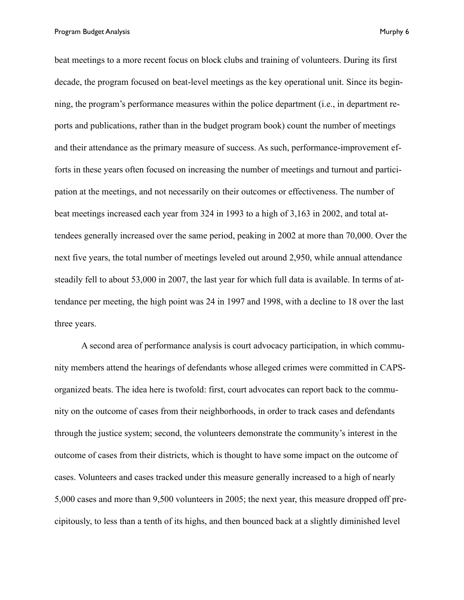Program Budget Analysis **Murphy 6** and the set of the set of the set of the set of the set of the set of the set of the set of the set of the set of the set of the set of the set of the set of the set of the set of the set

beat meetings to a more recent focus on block clubs and training of volunteers. During its first decade, the program focused on beat-level meetings as the key operational unit. Since its beginning, the program's performance measures within the police department (i.e., in department reports and publications, rather than in the budget program book) count the number of meetings and their attendance as the primary measure of success. As such, performance-improvement efforts in these years often focused on increasing the number of meetings and turnout and participation at the meetings, and not necessarily on their outcomes or effectiveness. The number of beat meetings increased each year from 324 in 1993 to a high of 3,163 in 2002, and total attendees generally increased over the same period, peaking in 2002 at more than 70,000. Over the next five years, the total number of meetings leveled out around 2,950, while annual attendance steadily fell to about 53,000 in 2007, the last year for which full data is available. In terms of attendance per meeting, the high point was 24 in 1997 and 1998, with a decline to 18 over the last three years.

 A second area of performance analysis is court advocacy participation, in which community members attend the hearings of defendants whose alleged crimes were committed in CAPSorganized beats. The idea here is twofold: first, court advocates can report back to the community on the outcome of cases from their neighborhoods, in order to track cases and defendants through the justice system; second, the volunteers demonstrate the community's interest in the outcome of cases from their districts, which is thought to have some impact on the outcome of cases. Volunteers and cases tracked under this measure generally increased to a high of nearly 5,000 cases and more than 9,500 volunteers in 2005; the next year, this measure dropped off precipitously, to less than a tenth of its highs, and then bounced back at a slightly diminished level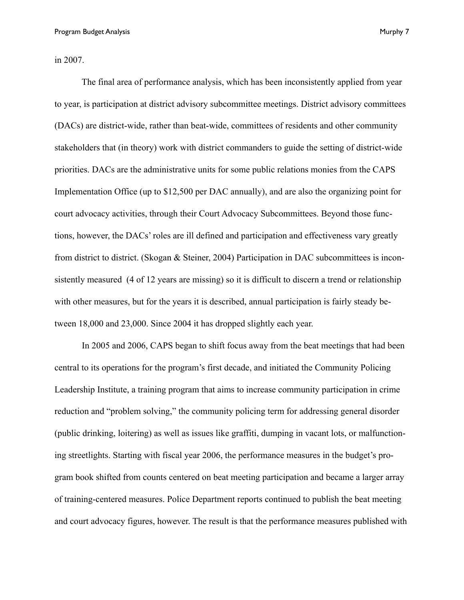in 2007.

 The final area of performance analysis, which has been inconsistently applied from year to year, is participation at district advisory subcommittee meetings. District advisory committees (DACs) are district-wide, rather than beat-wide, committees of residents and other community stakeholders that (in theory) work with district commanders to guide the setting of district-wide priorities. DACs are the administrative units for some public relations monies from the CAPS Implementation Office (up to \$12,500 per DAC annually), and are also the organizing point for court advocacy activities, through their Court Advocacy Subcommittees. Beyond those functions, however, the DACs' roles are ill defined and participation and effectiveness vary greatly from district to district. (Skogan & Steiner, 2004) Participation in DAC subcommittees is inconsistently measured (4 of 12 years are missing) so it is difficult to discern a trend or relationship with other measures, but for the years it is described, annual participation is fairly steady between 18,000 and 23,000. Since 2004 it has dropped slightly each year.

 In 2005 and 2006, CAPS began to shift focus away from the beat meetings that had been central to its operations for the program's first decade, and initiated the Community Policing Leadership Institute, a training program that aims to increase community participation in crime reduction and "problem solving," the community policing term for addressing general disorder (public drinking, loitering) as well as issues like graffiti, dumping in vacant lots, or malfunctioning streetlights. Starting with fiscal year 2006, the performance measures in the budget's program book shifted from counts centered on beat meeting participation and became a larger array of training-centered measures. Police Department reports continued to publish the beat meeting and court advocacy figures, however. The result is that the performance measures published with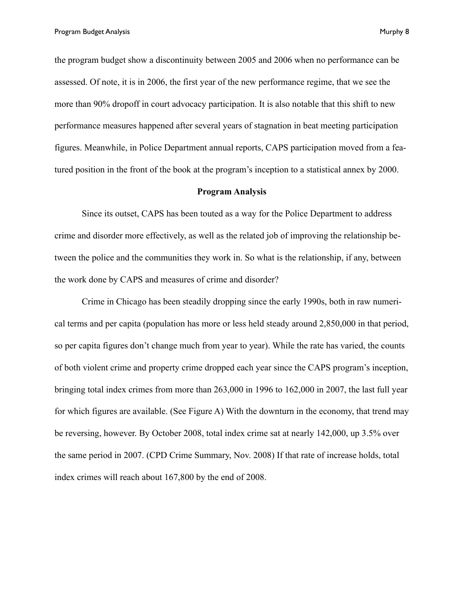the program budget show a discontinuity between 2005 and 2006 when no performance can be assessed. Of note, it is in 2006, the first year of the new performance regime, that we see the more than 90% dropoff in court advocacy participation. It is also notable that this shift to new performance measures happened after several years of stagnation in beat meeting participation figures. Meanwhile, in Police Department annual reports, CAPS participation moved from a fea-

tured position in the front of the book at the program's inception to a statistical annex by 2000.

#### **Program Analysis**

 Since its outset, CAPS has been touted as a way for the Police Department to address crime and disorder more effectively, as well as the related job of improving the relationship between the police and the communities they work in. So what is the relationship, if any, between the work done by CAPS and measures of crime and disorder?

 Crime in Chicago has been steadily dropping since the early 1990s, both in raw numerical terms and per capita (population has more or less held steady around 2,850,000 in that period, so per capita figures don't change much from year to year). While the rate has varied, the counts of both violent crime and property crime dropped each year since the CAPS program's inception, bringing total index crimes from more than 263,000 in 1996 to 162,000 in 2007, the last full year for which figures are available. (See Figure A) With the downturn in the economy, that trend may be reversing, however. By October 2008, total index crime sat at nearly 142,000, up 3.5% over the same period in 2007. (CPD Crime Summary, Nov. 2008) If that rate of increase holds, total index crimes will reach about 167,800 by the end of 2008.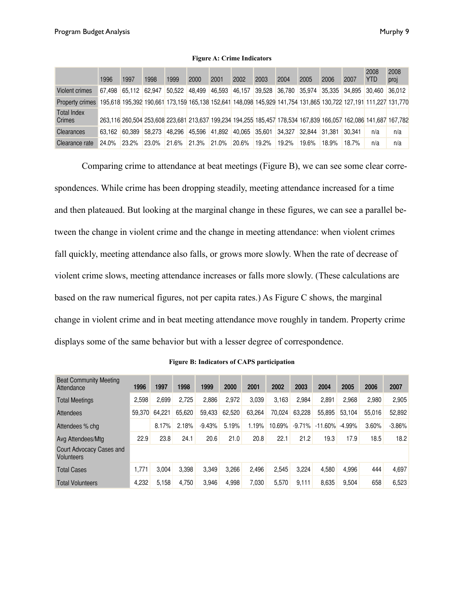|                                     | 1996   | 1997   | 1998   | 1999                 | 2000   | 2001   | 2002          | 2003                 | 2004   | 2005   | 2006   | 2007          | 2008<br><b>YTD</b> | 2008<br>proj                                                                                                    |
|-------------------------------------|--------|--------|--------|----------------------|--------|--------|---------------|----------------------|--------|--------|--------|---------------|--------------------|-----------------------------------------------------------------------------------------------------------------|
| Violent crimes                      | 67.498 | 65.112 | 62.947 | 50.522               | 48.499 | 46,593 | 46,157        | 39,528 36,780 35,974 |        |        | 35.335 | 34.895 30.460 |                    | 36.012                                                                                                          |
| <b>Property crimes</b>              |        |        |        |                      |        |        |               |                      |        |        |        |               |                    | 195,618 195,392 190,661 173,159 165,138 152,641 148,098 145,929 141,754 131,865 130,722 127,191 111,227 131,770 |
| <b>Total Index</b><br><b>Crimes</b> |        |        |        |                      |        |        |               |                      |        |        |        |               |                    | 263,116 260,504 253,608 223,681 213,637 199,234 194,255 185,457 178,534 167,839 166,057 162,086 141,687 167,782 |
| <b>Clearances</b>                   | 63.162 | 60.389 | 58,273 | 48.296 45.596 41.892 |        |        | 40,065 35,601 |                      | 34.327 | 32,844 | 31.381 | 30.341        | n/a                | n/a                                                                                                             |
| Clearance rate                      | 24.0%  | 23.2%  | 23.0%  | 21.6%                | 21.3%  | 21.0%  | 20.6%         | 19.2%                | 19.2%  | 19.6%  | 18.9%  | 18.7%         | n/a                | n/a                                                                                                             |

#### **Figure A: Crime Indicators**

 Comparing crime to attendance at beat meetings (Figure B), we can see some clear correspondences. While crime has been dropping steadily, meeting attendance increased for a time and then plateaued. But looking at the marginal change in these figures, we can see a parallel between the change in violent crime and the change in meeting attendance: when violent crimes fall quickly, meeting attendance also falls, or grows more slowly. When the rate of decrease of violent crime slows, meeting attendance increases or falls more slowly. (These calculations are based on the raw numerical figures, not per capita rates.) As Figure C shows, the marginal change in violent crime and in beat meeting attendance move roughly in tandem. Property crime displays some of the same behavior but with a lesser degree of correspondence.

| <b>Beat Community Meeting</b><br>Attendance   | 1996   | 1997   | 1998   | 1999     | 2000   | 2001   | 2002   | 2003     | 2004      | 2005     | 2006   | 2007     |
|-----------------------------------------------|--------|--------|--------|----------|--------|--------|--------|----------|-----------|----------|--------|----------|
| <b>Total Meetings</b>                         | 2,598  | 2,699  | 2,725  | 2,886    | 2,972  | 3,039  | 3,163  | 2,984    | 2,891     | 2,968    | 2.980  | 2,905    |
| Attendees                                     | 59,370 | 64.221 | 65,620 | 59.433   | 62,520 | 63,264 | 70,024 | 63,228   | 55,895    | 53.104   | 55,016 | 52,892   |
| Attendees % chg                               |        | 8.17%  | 2.18%  | $-9.43%$ | 5.19%  | 1.19%  | 10.69% | $-9.71%$ | $-11.60%$ | $-4.99%$ | 3.60%  | $-3.86%$ |
| Avg Attendees/Mtg                             | 22.9   | 23.8   | 24.1   | 20.6     | 21.0   | 20.8   | 22.1   | 21.2     | 19.3      | 17.9     | 18.5   | 18.2     |
| Court Advocacy Cases and<br><b>Volunteers</b> |        |        |        |          |        |        |        |          |           |          |        |          |
| <b>Total Cases</b>                            | 1,771  | 3.004  | 3.398  | 3,349    | 3.266  | 2.496  | 2,545  | 3.224    | 4.580     | 4,996    | 444    | 4,697    |
| <b>Total Volunteers</b>                       | 4,232  | 5,158  | 4.750  | 3,946    | 4.998  | 7,030  | 5,570  | 9.111    | 8,635     | 9,504    | 658    | 6,523    |

#### **Figure B: Indicators of CAPS participation**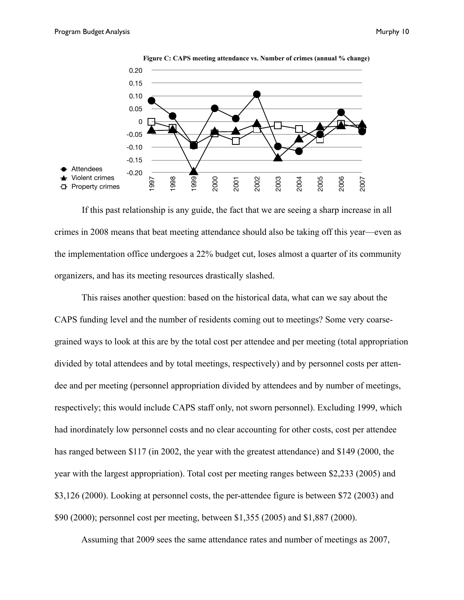



 If this past relationship is any guide, the fact that we are seeing a sharp increase in all crimes in 2008 means that beat meeting attendance should also be taking off this year—even as the implementation office undergoes a 22% budget cut, loses almost a quarter of its community organizers, and has its meeting resources drastically slashed.

 This raises another question: based on the historical data, what can we say about the CAPS funding level and the number of residents coming out to meetings? Some very coarsegrained ways to look at this are by the total cost per attendee and per meeting (total appropriation divided by total attendees and by total meetings, respectively) and by personnel costs per attendee and per meeting (personnel appropriation divided by attendees and by number of meetings, respectively; this would include CAPS staff only, not sworn personnel). Excluding 1999, which had inordinately low personnel costs and no clear accounting for other costs, cost per attendee has ranged between \$117 (in 2002, the year with the greatest attendance) and \$149 (2000, the year with the largest appropriation). Total cost per meeting ranges between \$2,233 (2005) and \$3,126 (2000). Looking at personnel costs, the per-attendee figure is between \$72 (2003) and \$90 (2000); personnel cost per meeting, between \$1,355 (2005) and \$1,887 (2000).

Assuming that 2009 sees the same attendance rates and number of meetings as 2007,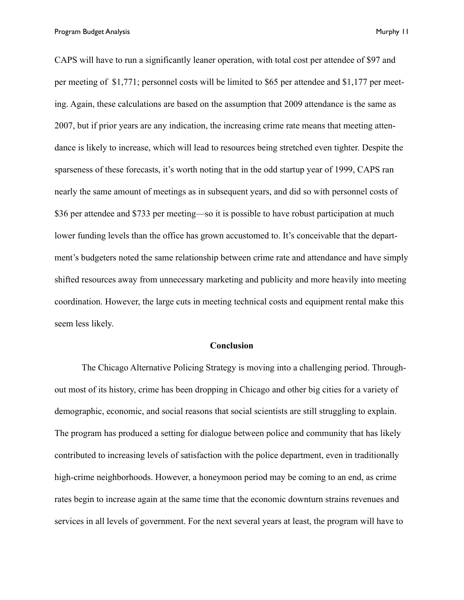Program Budget Analysis **Murphy 11** and the set of the set of the set of the set of the set of the set of the set of the set of the set of the set of the set of the set of the set of the set of the set of the set of the se

CAPS will have to run a significantly leaner operation, with total cost per attendee of \$97 and per meeting of \$1,771; personnel costs will be limited to \$65 per attendee and \$1,177 per meeting. Again, these calculations are based on the assumption that 2009 attendance is the same as 2007, but if prior years are any indication, the increasing crime rate means that meeting attendance is likely to increase, which will lead to resources being stretched even tighter. Despite the sparseness of these forecasts, it's worth noting that in the odd startup year of 1999, CAPS ran nearly the same amount of meetings as in subsequent years, and did so with personnel costs of \$36 per attendee and \$733 per meeting—so it is possible to have robust participation at much lower funding levels than the office has grown accustomed to. It's conceivable that the department's budgeters noted the same relationship between crime rate and attendance and have simply shifted resources away from unnecessary marketing and publicity and more heavily into meeting coordination. However, the large cuts in meeting technical costs and equipment rental make this seem less likely.

#### **Conclusion**

 The Chicago Alternative Policing Strategy is moving into a challenging period. Throughout most of its history, crime has been dropping in Chicago and other big cities for a variety of demographic, economic, and social reasons that social scientists are still struggling to explain. The program has produced a setting for dialogue between police and community that has likely contributed to increasing levels of satisfaction with the police department, even in traditionally high-crime neighborhoods. However, a honeymoon period may be coming to an end, as crime rates begin to increase again at the same time that the economic downturn strains revenues and services in all levels of government. For the next several years at least, the program will have to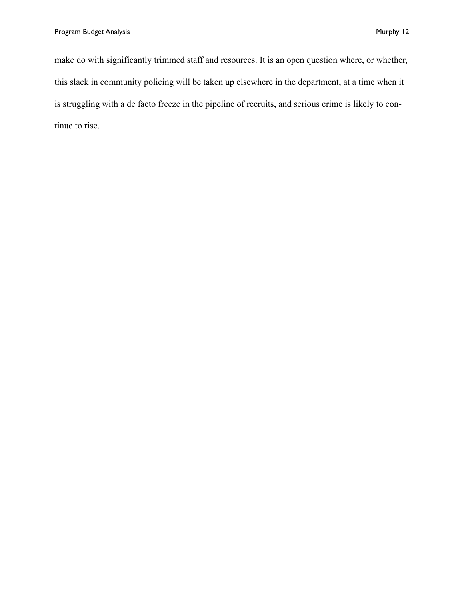make do with significantly trimmed staff and resources. It is an open question where, or whether, this slack in community policing will be taken up elsewhere in the department, at a time when it is struggling with a de facto freeze in the pipeline of recruits, and serious crime is likely to continue to rise.